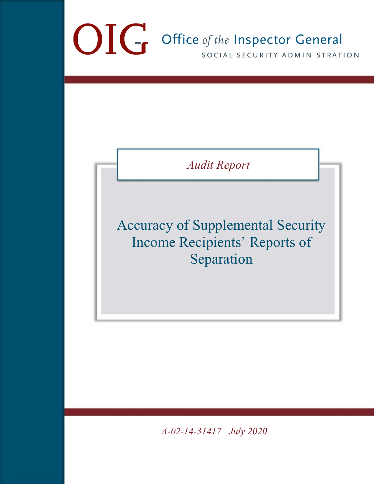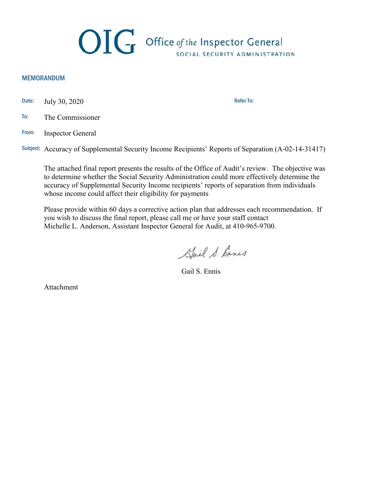

#### MEMORANDUM

Date: July 30, 2020

- To: The Commissioner
- From: Inspector General

Subject: Accuracy of Supplemental Security Income Recipients' Reports of Separation (A-02-14-31417)

The attached final report presents the results of the Office of Audit's review. The objective was to determine whether the Social Security Administration could more effectively determine the accuracy of Supplemental Security Income recipients' reports of separation from individuals whose income could affect their eligibility for payments

Please provide within 60 days a corrective action plan that addresses each recommendation. If you wish to discuss the final report, please call me or have your staff contact Michelle L. Anderson, Assistant Inspector General for Audit, at 410-965-9700.

Hail S. Ennis

Gail S. Ennis

Attachment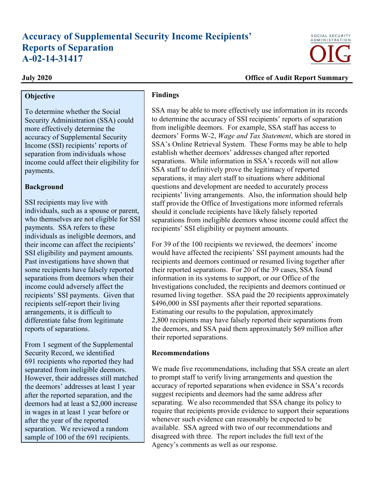# **Accuracy of Supplemental Security Income Recipients' Reports of Separation A-02-14-31417**

### **Objective**

To determine whether the Social Security Administration (SSA) could more effectively determine the accuracy of Supplemental Security Income (SSI) recipients' reports of separation from individuals whose income could affect their eligibility for payments.

### **Background**

SSI recipients may live with individuals, such as a spouse or parent, who themselves are not eligible for SSI payments. SSA refers to these individuals as ineligible deemors, and their income can affect the recipients' SSI eligibility and payment amounts. Past investigations have shown that some recipients have falsely reported separations from deemors when their income could adversely affect the recipients' SSI payments. Given that recipients self-report their living arrangements, it is difficult to differentiate false from legitimate reports of separations.

From 1 segment of the Supplemental Security Record, we identified 691 recipients who reported they had separated from ineligible deemors. However, their addresses still matched the deemors' addresses at least 1 year after the reported separation, and the deemors had at least a \$2,000 increase in wages in at least 1 year before or after the year of the reported separation. We reviewed a random sample of 100 of the 691 recipients.

### **Findings**

SSA may be able to more effectively use information in its records to determine the accuracy of SSI recipients' reports of separation from ineligible deemors. For example, SSA staff has access to deemors' Forms W-2, *Wage and Tax Statement*, which are stored in SSA's Online Retrieval System. These Forms may be able to help establish whether deemors' addresses changed after reported separations. While information in SSA's records will not allow SSA staff to definitively prove the legitimacy of reported separations, it may alert staff to situations where additional questions and development are needed to accurately process recipients' living arrangements. Also, the information should help staff provide the Office of Investigations more informed referrals should it conclude recipients have likely falsely reported separations from ineligible deemors whose income could affect the recipients' SSI eligibility or payment amounts.

For 39 of the 100 recipients we reviewed, the deemors' income would have affected the recipients' SSI payment amounts had the recipients and deemors continued or resumed living together after their reported separations. For 20 of the 39 cases, SSA found information in its systems to support, or our Office of the Investigations concluded, the recipients and deemors continued or resumed living together. SSA paid the 20 recipients approximately \$496,000 in SSI payments after their reported separations. Estimating our results to the population, approximately 2,800 recipients may have falsely reported their separations from the deemors, and SSA paid them approximately \$69 million after their reported separations.

### **Recommendations**

We made five recommendations, including that SSA create an alert to prompt staff to verify living arrangements and question the accuracy of reported separations when evidence in SSA's records suggest recipients and deemors had the same address after separating. We also recommended that SSA change its policy to require that recipients provide evidence to support their separations whenever such evidence can reasonably be expected to be available. SSA agreed with two of our recommendations and disagreed with three. The report includes the full text of the Agency's comments as well as our response.



#### **July 2020 Office of Audit Report Summary**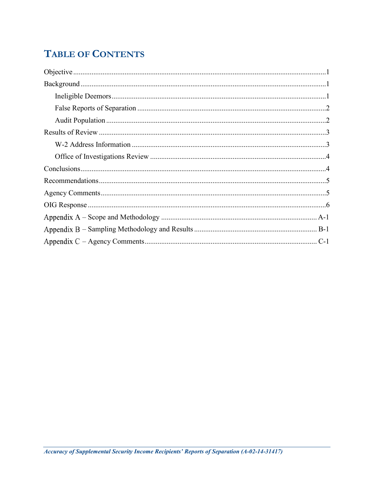# **TABLE OF CONTENTS**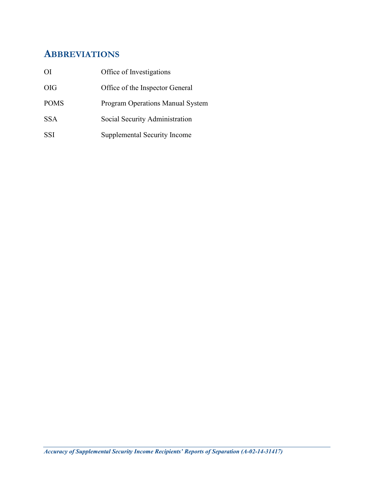# **ABBREVIATIONS**

| ΟI          | Office of Investigations            |
|-------------|-------------------------------------|
| <b>OIG</b>  | Office of the Inspector General     |
| <b>POMS</b> | Program Operations Manual System    |
| <b>SSA</b>  | Social Security Administration      |
| <b>SSI</b>  | <b>Supplemental Security Income</b> |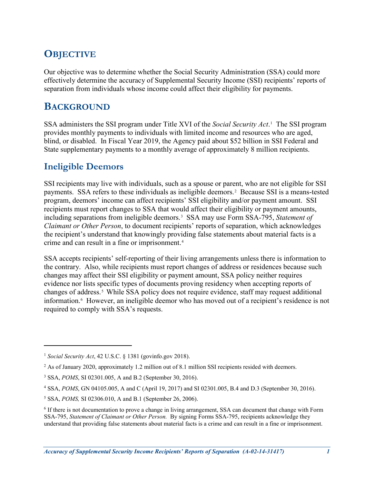# <span id="page-5-0"></span>**OBJECTIVE**

Our objective was to determine whether the Social Security Administration (SSA) could more effectively determine the accuracy of Supplemental Security Income (SSI) recipients' reports of separation from individuals whose income could affect their eligibility for payments.

# <span id="page-5-1"></span>**BACKGROUND**

SSA administers the SSI program under Title XVI of the *Social Security Act*.[1](#page-5-3) The SSI program provides monthly payments to individuals with limited income and resources who are aged, blind, or disabled. In Fiscal Year 2019, the Agency paid about \$52 billion in SSI Federal and State supplementary payments to a monthly average of approximately 8 million recipients.

# <span id="page-5-2"></span>**Ineligible Deemors**

 $\overline{a}$ 

SSI recipients may live with individuals, such as a spouse or parent, who are not eligible for SSI payments. SSA refers to these individuals as ineligible deemors.[2](#page-5-4) Because SSI is a means-tested program, deemors' income can affect recipients' SSI eligibility and/or payment amount. SSI recipients must report changes to SSA that would affect their eligibility or payment amounts, including separations from ineligible deemors.[3](#page-5-5) SSA may use Form SSA-795, *Statement of Claimant or Other Person*, to document recipients' reports of separation, which acknowledges the recipient's understand that knowingly providing false statements about material facts is a crime and can result in a fine or imprisonment.[4](#page-5-6)

SSA accepts recipients' self-reporting of their living arrangements unless there is information to the contrary. Also, while recipients must report changes of address or residences because such changes may affect their SSI eligibility or payment amount, SSA policy neither requires evidence nor lists specific types of documents proving residency when accepting reports of changes of address.<sup>[5](#page-5-7)</sup> While SSA policy does not require evidence, staff may request additional information.[6](#page-5-8) However, an ineligible deemor who has moved out of a recipient's residence is not required to comply with SSA's requests.

<span id="page-5-3"></span><sup>1</sup> *Social Security Act*, 42 U.S.C. § 1381 (govinfo.gov 2018).

<span id="page-5-4"></span><sup>&</sup>lt;sup>2</sup> As of January 2020, approximately 1.2 million out of 8.1 million SSI recipients resided with deemors.

<span id="page-5-5"></span><sup>3</sup> SSA, *POMS*, SI 02301.005, A and B.2 (September 30, 2016).

<span id="page-5-6"></span><sup>4</sup> SSA, *POMS*, GN 04105.005, A and C (April 19, 2017) and SI 02301.005, B.4 and D.3 (September 30, 2016).

<span id="page-5-7"></span><sup>5</sup> SSA, *POMS,* SI 02306.010, A and B.1 (September 26, 2006).

<span id="page-5-8"></span><sup>6</sup> If there is not documentation to prove a change in living arrangement, SSA can document that change with Form SSA-795, *Statement of Claimant or Other Person.* By signing Forms SSA-795, recipients acknowledge they understand that providing false statements about material facts is a crime and can result in a fine or imprisonment.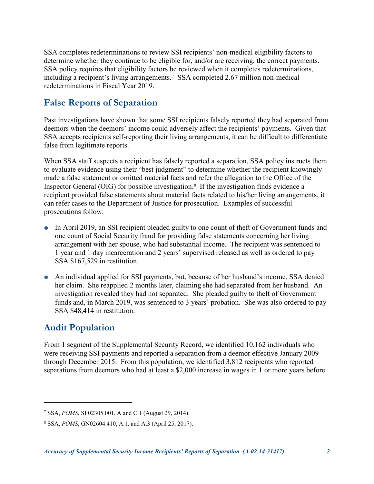SSA completes redeterminations to review SSI recipients' non-medical eligibility factors to determine whether they continue to be eligible for, and/or are receiving, the correct payments. SSA policy requires that eligibility factors be reviewed when it completes redeterminations, including a recipient's living arrangements.[7](#page-6-2) SSA completed 2.67 million non-medical redeterminations in Fiscal Year 2019.

## <span id="page-6-0"></span>**False Reports of Separation**

Past investigations have shown that some SSI recipients falsely reported they had separated from deemors when the deemors' income could adversely affect the recipients' payments. Given that SSA accepts recipients self-reporting their living arrangements, it can be difficult to differentiate false from legitimate reports.

When SSA staff suspects a recipient has falsely reported a separation, SSA policy instructs them to evaluate evidence using their "best judgment" to determine whether the recipient knowingly made a false statement or omitted material facts and refer the allegation to the Office of the Inspector General (OIG) for possible investigation.<sup>[8](#page-6-3)</sup> If the investigation finds evidence a recipient provided false statements about material facts related to his/her living arrangements, it can refer cases to the Department of Justice for prosecution. Examples of successful prosecutions follow.

- In April 2019, an SSI recipient pleaded guilty to one count of theft of Government funds and one count of Social Security fraud for providing false statements concerning her living arrangement with her spouse, who had substantial income. The recipient was sentenced to 1 year and 1 day incarceration and 2 years' supervised released as well as ordered to pay SSA \$167,529 in restitution.
- An individual applied for SSI payments, but, because of her husband's income, SSA denied her claim. She reapplied 2 months later, claiming she had separated from her husband. An investigation revealed they had not separated. She pleaded guilty to theft of Government funds and, in March 2019, was sentenced to 3 years' probation. She was also ordered to pay SSA \$48,414 in restitution.

### <span id="page-6-1"></span>**Audit Population**

 $\overline{a}$ 

From 1 segment of the Supplemental Security Record, we identified 10,162 individuals who were receiving SSI payments and reported a separation from a deemor effective January 2009 through December 2015. From this population, we identified 3,812 recipients who reported separations from deemors who had at least a \$2,000 increase in wages in 1 or more years before

<span id="page-6-2"></span><sup>7</sup> SSA, *POMS*, SI 02305.001, A and C.1 (August 29, 2014).

<span id="page-6-3"></span><sup>8</sup> SSA, *POMS*, GN02604.410, A.1. and A.3 (April 25, 2017).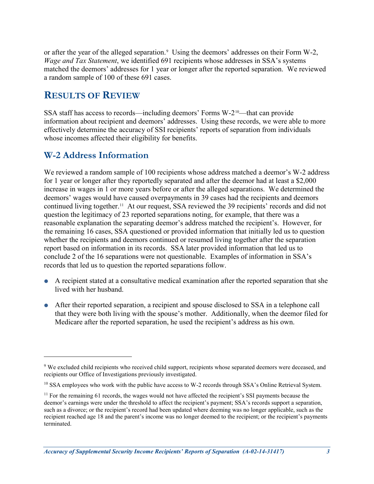or after the year of the alleged separation.<sup>[9](#page-7-2)</sup> Using the deemors' addresses on their Form W-2, *Wage and Tax Statement*, we identified 691 recipients whose addresses in SSA's systems matched the deemors' addresses for 1 year or longer after the reported separation. We reviewed a random sample of 100 of these 691 cases.

## <span id="page-7-0"></span>**RESULTS OF REVIEW**

SSA staff has access to records—including deemors' Forms  $W-2^{10}$ —that can provide information about recipient and deemors' addresses. Using these records, we were able to more effectively determine the accuracy of SSI recipients' reports of separation from individuals whose incomes affected their eligibility for benefits.

### <span id="page-7-1"></span>**W-2 Address Information**

 $\overline{a}$ 

We reviewed a random sample of 100 recipients whose address matched a deemor's W-2 address for 1 year or longer after they reportedly separated and after the deemor had at least a \$2,000 increase in wages in 1 or more years before or after the alleged separations. We determined the deemors' wages would have caused overpayments in 39 cases had the recipients and deemors continued living together. [11](#page-7-4) At our request, SSA reviewed the 39 recipients' records and did not question the legitimacy of 23 reported separations noting, for example, that there was a reasonable explanation the separating deemor's address matched the recipient's. However, for the remaining 16 cases, SSA questioned or provided information that initially led us to question whether the recipients and deemors continued or resumed living together after the separation report based on information in its records. SSA later provided information that led us to conclude 2 of the 16 separations were not questionable. Examples of information in SSA's records that led us to question the reported separations follow.

- A recipient stated at a consultative medical examination after the reported separation that she lived with her husband.
- After their reported separation, a recipient and spouse disclosed to SSA in a telephone call that they were both living with the spouse's mother. Additionally, when the deemor filed for Medicare after the reported separation, he used the recipient's address as his own.

<span id="page-7-2"></span><sup>9</sup> We excluded child recipients who received child support, recipients whose separated deemors were deceased, and recipients our Office of Investigations previously investigated.

<span id="page-7-3"></span><sup>&</sup>lt;sup>10</sup> SSA employees who work with the public have access to W-2 records through SSA's Online Retrieval System.

<span id="page-7-4"></span><sup>&</sup>lt;sup>11</sup> For the remaining 61 records, the wages would not have affected the recipient's SSI payments because the deemor's earnings were under the threshold to affect the recipient's payment; SSA's records support a separation, such as a divorce; or the recipient's record had been updated where deeming was no longer applicable, such as the recipient reached age 18 and the parent's income was no longer deemed to the recipient; or the recipient's payments terminated.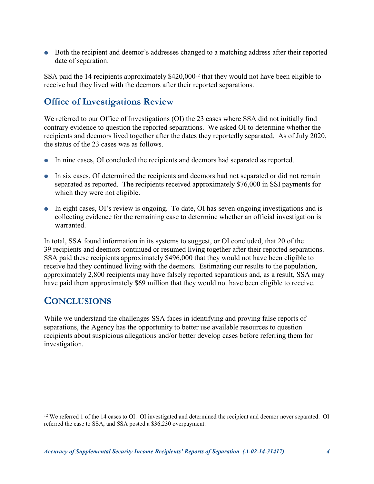Both the recipient and deemor's addresses changed to a matching address after their reported date of separation.

SSA paid the 14 recipients approximately \$420,000[12](#page-8-2) that they would not have been eligible to receive had they lived with the deemors after their reported separations.

# <span id="page-8-0"></span>**Office of Investigations Review**

We referred to our Office of Investigations (OI) the 23 cases where SSA did not initially find contrary evidence to question the reported separations. We asked OI to determine whether the recipients and deemors lived together after the dates they reportedly separated. As of July 2020, the status of the 23 cases was as follows.

- In nine cases, OI concluded the recipients and deemors had separated as reported.
- In six cases, OI determined the recipients and deemors had not separated or did not remain separated as reported. The recipients received approximately \$76,000 in SSI payments for which they were not eligible.
- In eight cases, OI's review is ongoing. To date, OI has seven ongoing investigations and is collecting evidence for the remaining case to determine whether an official investigation is warranted.

In total, SSA found information in its systems to suggest, or OI concluded, that 20 of the 39 recipients and deemors continued or resumed living together after their reported separations. SSA paid these recipients approximately \$496,000 that they would not have been eligible to receive had they continued living with the deemors. Estimating our results to the population, approximately 2,800 recipients may have falsely reported separations and, as a result, SSA may have paid them approximately \$69 million that they would not have been eligible to receive.

# <span id="page-8-1"></span>**CONCLUSIONS**

 $\overline{a}$ 

While we understand the challenges SSA faces in identifying and proving false reports of separations, the Agency has the opportunity to better use available resources to question recipients about suspicious allegations and/or better develop cases before referring them for investigation.

<span id="page-8-2"></span><sup>&</sup>lt;sup>12</sup> We referred 1 of the 14 cases to OI. OI investigated and determined the recipient and deemor never separated. OI referred the case to SSA, and SSA posted a \$36,230 overpayment.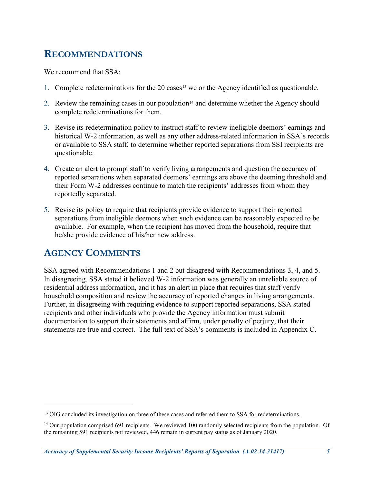# <span id="page-9-0"></span>**RECOMMENDATIONS**

We recommend that SSA:

- 1. Complete redeterminations for the  $20$  cases<sup>[13](#page-9-2)</sup> we or the Agency identified as questionable.
- 2. Review the remaining cases in our population<sup>[14](#page-9-3)</sup> and determine whether the Agency should complete redeterminations for them.
- 3. Revise its redetermination policy to instruct staff to review ineligible deemors' earnings and historical W-2 information, as well as any other address-related information in SSA's records or available to SSA staff, to determine whether reported separations from SSI recipients are questionable.
- 4. Create an alert to prompt staff to verify living arrangements and question the accuracy of reported separations when separated deemors' earnings are above the deeming threshold and their Form W-2 addresses continue to match the recipients' addresses from whom they reportedly separated.
- 5. Revise its policy to require that recipients provide evidence to support their reported separations from ineligible deemors when such evidence can be reasonably expected to be available. For example, when the recipient has moved from the household, require that he/she provide evidence of his/her new address.

# <span id="page-9-1"></span>**AGENCY COMMENTS**

 $\overline{a}$ 

SSA agreed with Recommendations 1 and 2 but disagreed with Recommendations 3, 4, and 5. In disagreeing, SSA stated it believed W-2 information was generally an unreliable source of residential address information, and it has an alert in place that requires that staff verify household composition and review the accuracy of reported changes in living arrangements. Further, in disagreeing with requiring evidence to support reported separations, SSA stated recipients and other individuals who provide the Agency information must submit documentation to support their statements and affirm, under penalty of perjury, that their statements are true and correct. The full text of SSA's comments is included in [Appendix C.](#page-16-0)

<span id="page-9-2"></span><sup>&</sup>lt;sup>13</sup> OIG concluded its investigation on three of these cases and referred them to SSA for redeterminations.

<span id="page-9-3"></span> $14$  Our population comprised 691 recipients. We reviewed 100 randomly selected recipients from the population. Of the remaining 591 recipients not reviewed, 446 remain in current pay status as of January 2020.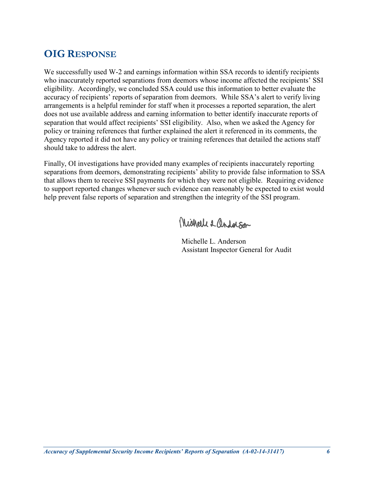# <span id="page-10-0"></span>**OIG RESPONSE**

We successfully used W-2 and earnings information within SSA records to identify recipients who inaccurately reported separations from deemors whose income affected the recipients' SSI eligibility. Accordingly, we concluded SSA could use this information to better evaluate the accuracy of recipients' reports of separation from deemors. While SSA's alert to verify living arrangements is a helpful reminder for staff when it processes a reported separation, the alert does not use available address and earning information to better identify inaccurate reports of separation that would affect recipients' SSI eligibility. Also, when we asked the Agency for policy or training references that further explained the alert it referenced in its comments, the Agency reported it did not have any policy or training references that detailed the actions staff should take to address the alert.

Finally, OI investigations have provided many examples of recipients inaccurately reporting separations from deemors, demonstrating recipients' ability to provide false information to SSA that allows them to receive SSI payments for which they were not eligible. Requiring evidence to support reported changes whenever such evidence can reasonably be expected to exist would help prevent false reports of separation and strengthen the integrity of the SSI program.

Michell & andolson

Michelle L. Anderson Assistant Inspector General for Audit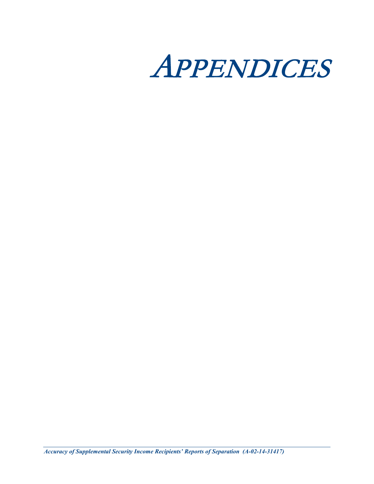

*Accuracy of Supplemental Security Income Recipients' Reports of Separation (A-02-14-31417)*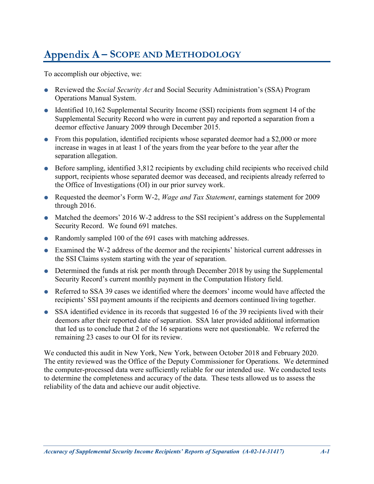# <span id="page-12-0"></span>**– SCOPE AND METHODOLOGY**

To accomplish our objective, we:

- Reviewed the *Social Security Act* and Social Security Administration's (SSA) Program Operations Manual System.
- $\bullet$  Identified 10,162 Supplemental Security Income (SSI) recipients from segment 14 of the Supplemental Security Record who were in current pay and reported a separation from a deemor effective January 2009 through December 2015.
- From this population, identified recipients whose separated deemor had a \$2,000 or more increase in wages in at least 1 of the years from the year before to the year after the separation allegation.
- Before sampling, identified 3,812 recipients by excluding child recipients who received child support, recipients whose separated deemor was deceased, and recipients already referred to the Office of Investigations (OI) in our prior survey work.
- Requested the deemor's Form W-2, *Wage and Tax Statement*, earnings statement for 2009 through 2016.
- Matched the deemors' 2016 W-2 address to the SSI recipient's address on the Supplemental Security Record. We found 691 matches.
- Randomly sampled 100 of the 691 cases with matching addresses.
- Examined the W-2 address of the deemor and the recipients' historical current addresses in the SSI Claims system starting with the year of separation.
- Determined the funds at risk per month through December 2018 by using the Supplemental Security Record's current monthly payment in the Computation History field.
- Referred to SSA 39 cases we identified where the deemors' income would have affected the recipients' SSI payment amounts if the recipients and deemors continued living together.
- SSA identified evidence in its records that suggested 16 of the 39 recipients lived with their deemors after their reported date of separation. SSA later provided additional information that led us to conclude that 2 of the 16 separations were not questionable. We referred the remaining 23 cases to our OI for its review.

We conducted this audit in New York, New York, between October 2018 and February 2020. The entity reviewed was the Office of the Deputy Commissioner for Operations. We determined the computer-processed data were sufficiently reliable for our intended use. We conducted tests to determine the completeness and accuracy of the data. These tests allowed us to assess the reliability of the data and achieve our audit objective.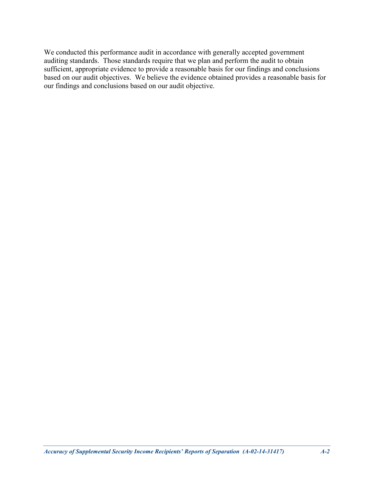We conducted this performance audit in accordance with generally accepted government auditing standards. Those standards require that we plan and perform the audit to obtain sufficient, appropriate evidence to provide a reasonable basis for our findings and conclusions based on our audit objectives. We believe the evidence obtained provides a reasonable basis for our findings and conclusions based on our audit objective.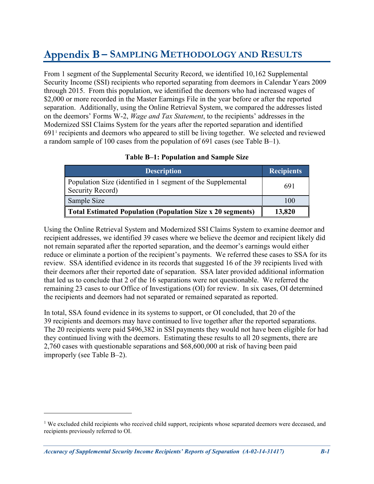# <span id="page-14-0"></span>**– SAMPLING METHODOLOGY AND RESULTS**

From 1 segment of the Supplemental Security Record, we identified 10,162 Supplemental Security Income (SSI) recipients who reported separating from deemors in Calendar Years 2009 through 2015. From this population, we identified the deemors who had increased wages of \$2,000 or more recorded in the Master Earnings File in the year before or after the reported separation. Additionally, using the Online Retrieval System, we compared the addresses listed on the deemors' Forms W-2, *Wage and Tax Statement*, to the recipients' addresses in the Modernized SSI Claims System for the years after the reported separation and identified 691[1](#page-14-2) recipients and deemors who appeared to still be living together. We selected and reviewed a random sample of 100 cases from the population of 691 cases (see [Table](#page-14-1) B–1).

<span id="page-14-1"></span>

| <b>Description</b>                                                               | <b>Recipients</b> |
|----------------------------------------------------------------------------------|-------------------|
| Population Size (identified in 1 segment of the Supplemental<br>Security Record) | 691               |
| Sample Size                                                                      | 100               |
| Total Estimated Population (Population Size x 20 segments)                       | 13,820            |

### **Table B–1: Population and Sample Size**

Using the Online Retrieval System and Modernized SSI Claims System to examine deemor and recipient addresses, we identified 39 cases where we believe the deemor and recipient likely did not remain separated after the reported separation, and the deemor's earnings would either reduce or eliminate a portion of the recipient's payments. We referred these cases to SSA for its review. SSA identified evidence in its records that suggested 16 of the 39 recipients lived with their deemors after their reported date of separation. SSA later provided additional information that led us to conclude that 2 of the 16 separations were not questionable. We referred the remaining 23 cases to our Office of Investigations (OI) for review. In six cases, OI determined the recipients and deemors had not separated or remained separated as reported.

In total, SSA found evidence in its systems to support, or OI concluded, that 20 of the 39 recipients and deemors may have continued to live together after the reported separations. The 20 recipients were paid \$496,382 in SSI payments they would not have been eligible for had they continued living with the deemors. Estimating these results to all 20 segments, there are 2,760 cases with questionable separations and \$68,600,000 at risk of having been paid improperly (see [Table](#page-15-0) B–2).

 $\overline{a}$ 

<span id="page-14-2"></span><sup>&</sup>lt;sup>1</sup> We excluded child recipients who received child support, recipients whose separated deemors were deceased, and recipients previously referred to OI.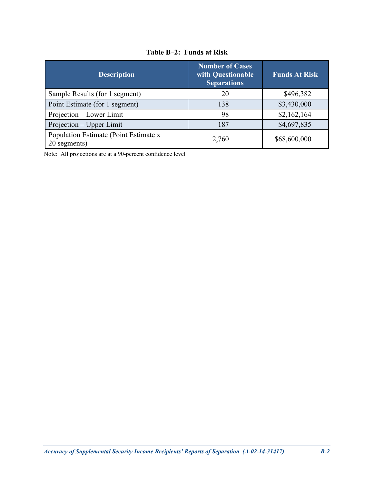<span id="page-15-0"></span>

| <b>Description</b>                                    | <b>Number of Cases</b><br>with Questionable<br><b>Separations</b> | <b>Funds At Risk</b> |
|-------------------------------------------------------|-------------------------------------------------------------------|----------------------|
| Sample Results (for 1 segment)                        | 20                                                                | \$496,382            |
| Point Estimate (for 1 segment)                        | 138                                                               | \$3,430,000          |
| Projection – Lower Limit                              | 98                                                                | \$2,162,164          |
| Projection – Upper Limit                              | 187                                                               | \$4,697,835          |
| Population Estimate (Point Estimate x<br>20 segments) | 2,760                                                             | \$68,600,000         |

**Table B–2: Funds at Risk**

Note: All projections are at a 90-percent confidence level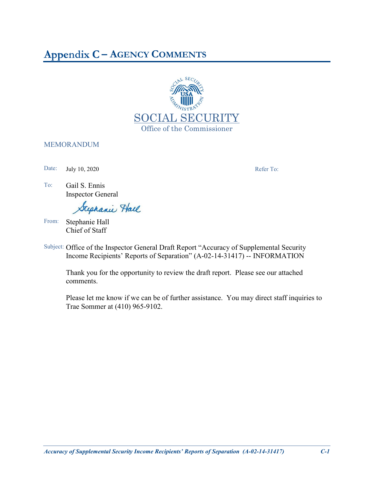# <span id="page-16-0"></span>**– AGENCY COMMENTS**



### MEMORANDUM

Date: July 10, 2020 Refer To:

To: Gail S. Ennis Inspector General

Stephanie Hall

- From: Stephanie Hall Chief of Staff
- Subject: Office of the Inspector General Draft Report "Accuracy of Supplemental Security Income Recipients' Reports of Separation" (A-02-14-31417) -- INFORMATION

Thank you for the opportunity to review the draft report. Please see our attached comments.

Please let me know if we can be of further assistance. You may direct staff inquiries to Trae Sommer at (410) 965-9102.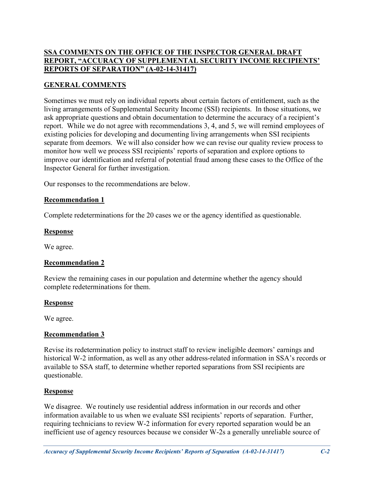### **SSA COMMENTS ON THE OFFICE OF THE INSPECTOR GENERAL DRAFT REPORT, "ACCURACY OF SUPPLEMENTAL SECURITY INCOME RECIPIENTS' REPORTS OF SEPARATION" (A-02-14-31417)**

### **GENERAL COMMENTS**

Sometimes we must rely on individual reports about certain factors of entitlement, such as the living arrangements of Supplemental Security Income (SSI) recipients. In those situations, we ask appropriate questions and obtain documentation to determine the accuracy of a recipient's report. While we do not agree with recommendations 3, 4, and 5, we will remind employees of existing policies for developing and documenting living arrangements when SSI recipients separate from deemors. We will also consider how we can revise our quality review process to monitor how well we process SSI recipients' reports of separation and explore options to improve our identification and referral of potential fraud among these cases to the Office of the Inspector General for further investigation.

Our responses to the recommendations are below.

### **Recommendation 1**

Complete redeterminations for the 20 cases we or the agency identified as questionable.

### **Response**

We agree.

### **Recommendation 2**

Review the remaining cases in our population and determine whether the agency should complete redeterminations for them.

### **Response**

We agree.

### **Recommendation 3**

Revise its redetermination policy to instruct staff to review ineligible deemors' earnings and historical W-2 information, as well as any other address-related information in SSA's records or available to SSA staff, to determine whether reported separations from SSI recipients are questionable.

### **Response**

We disagree. We routinely use residential address information in our records and other information available to us when we evaluate SSI recipients' reports of separation. Further, requiring technicians to review W-2 information for every reported separation would be an inefficient use of agency resources because we consider W-2s a generally unreliable source of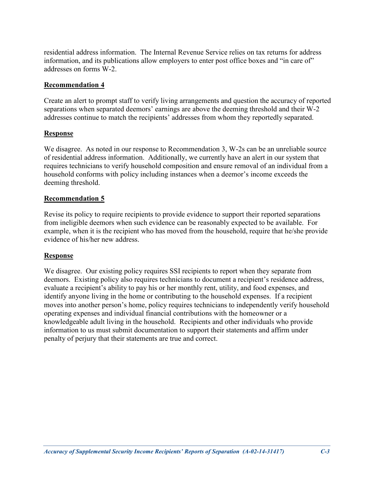residential address information. The Internal Revenue Service relies on tax returns for address information, and its publications allow employers to enter post office boxes and "in care of" addresses on forms W-2.

### **Recommendation 4**

Create an alert to prompt staff to verify living arrangements and question the accuracy of reported separations when separated deemors' earnings are above the deeming threshold and their W-2 addresses continue to match the recipients' addresses from whom they reportedly separated.

### **Response**

We disagree. As noted in our response to Recommendation 3, W-2s can be an unreliable source of residential address information. Additionally, we currently have an alert in our system that requires technicians to verify household composition and ensure removal of an individual from a household conforms with policy including instances when a deemor's income exceeds the deeming threshold.

### **Recommendation 5**

Revise its policy to require recipients to provide evidence to support their reported separations from ineligible deemors when such evidence can be reasonably expected to be available. For example, when it is the recipient who has moved from the household, require that he/she provide evidence of his/her new address.

### **Response**

We disagree. Our existing policy requires SSI recipients to report when they separate from deemors. Existing policy also requires technicians to document a recipient's residence address, evaluate a recipient's ability to pay his or her monthly rent, utility, and food expenses, and identify anyone living in the home or contributing to the household expenses. If a recipient moves into another person's home, policy requires technicians to independently verify household operating expenses and individual financial contributions with the homeowner or a knowledgeable adult living in the household. Recipients and other individuals who provide information to us must submit documentation to support their statements and affirm under penalty of perjury that their statements are true and correct.